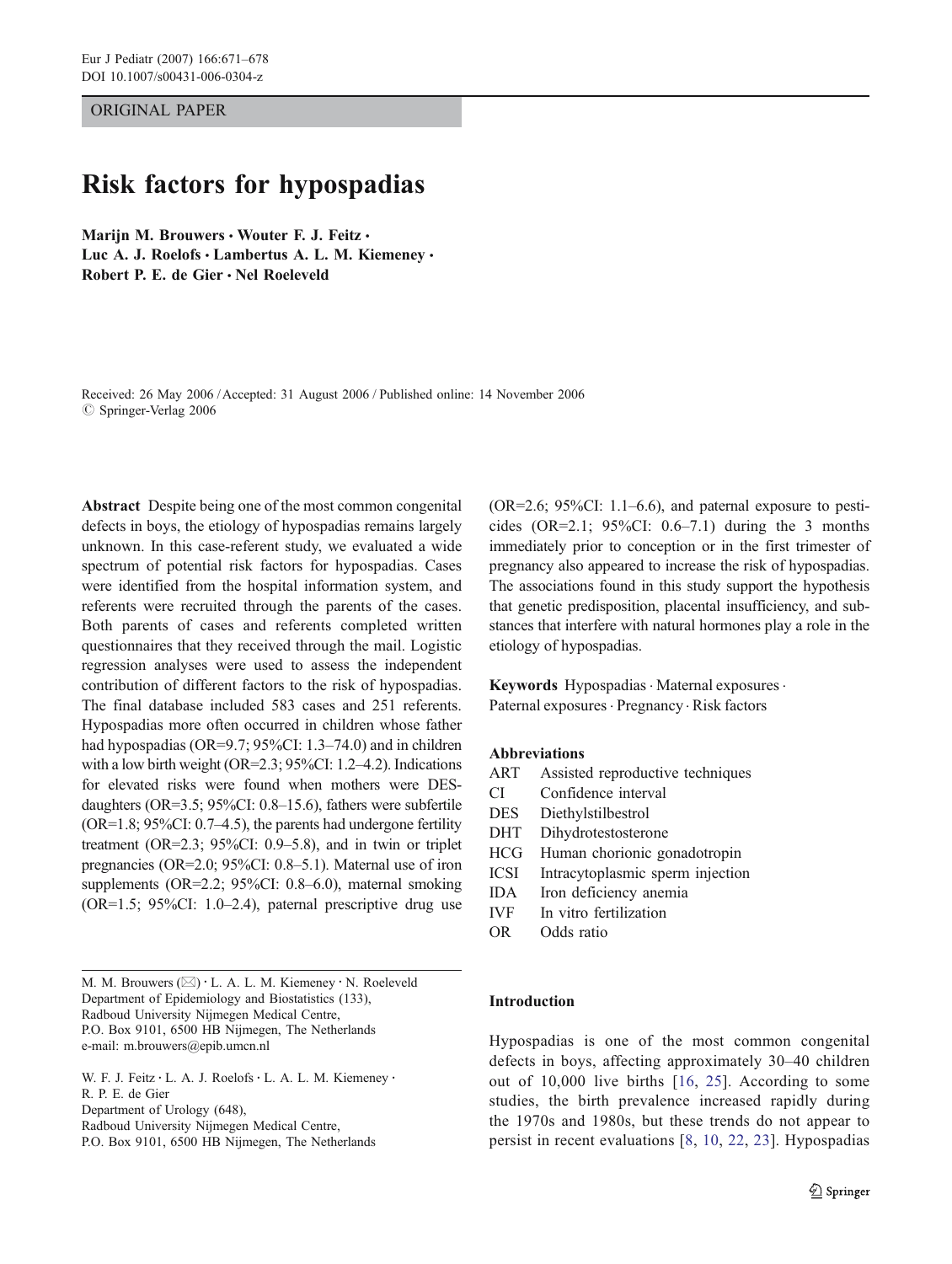ORIGINAL PAPER

# Risk factors for hypospadias

Marijn M. Brouwers · Wouter F. J. Feitz · Luc A. J. Roelofs · Lambertus A. L. M. Kiemeney · Robert P. E. de Gier · Nel Roeleveld

Received: 26 May 2006 /Accepted: 31 August 2006 / Published online: 14 November 2006  $\circ$  Springer-Verlag 2006

Abstract Despite being one of the most common congenital defects in boys, the etiology of hypospadias remains largely unknown. In this case-referent study, we evaluated a wide spectrum of potential risk factors for hypospadias. Cases were identified from the hospital information system, and referents were recruited through the parents of the cases. Both parents of cases and referents completed written questionnaires that they received through the mail. Logistic regression analyses were used to assess the independent contribution of different factors to the risk of hypospadias. The final database included 583 cases and 251 referents. Hypospadias more often occurred in children whose father had hypospadias (OR=9.7; 95%CI: 1.3–74.0) and in children with a low birth weight (OR=2.3; 95%CI: 1.2–4.2). Indications for elevated risks were found when mothers were DESdaughters (OR=3.5; 95%CI: 0.8–15.6), fathers were subfertile  $(OR=1.8; 95\%CI: 0.7–4.5)$ , the parents had undergone fertility treatment (OR=2.3; 95%CI: 0.9–5.8), and in twin or triplet pregnancies (OR=2.0; 95%CI: 0.8–5.1). Maternal use of iron supplements (OR=2.2; 95%CI: 0.8–6.0), maternal smoking (OR=1.5; 95%CI: 1.0–2.4), paternal prescriptive drug use

M. M. Brouwers  $(\boxtimes) \cdot$  L. A. L. M. Kiemeney  $\cdot$  N. Roeleveld Department of Epidemiology and Biostatistics (133), Radboud University Nijmegen Medical Centre, P.O. Box 9101, 6500 HB Nijmegen, The Netherlands e-mail: m.brouwers@epib.umcn.nl

W. F. J. Feitz · L. A. J. Roelofs · L. A. L. M. Kiemeney · R. P. E. de Gier Department of Urology (648), Radboud University Nijmegen Medical Centre, P.O. Box 9101, 6500 HB Nijmegen, The Netherlands

 $(OR=2.6; 95\%CI: 1.1–6.6)$ , and paternal exposure to pesticides (OR=2.1:  $95\%$ CI: 0.6–7.1) during the 3 months immediately prior to conception or in the first trimester of pregnancy also appeared to increase the risk of hypospadias. The associations found in this study support the hypothesis that genetic predisposition, placental insufficiency, and substances that interfere with natural hormones play a role in the etiology of hypospadias.

Keywords Hypospadias · Maternal exposures · Paternal exposures · Pregnancy · Risk factors

#### Abbreviations

- ART Assisted reproductive techniques
- CI Confidence interval
- DES Diethylstilbestrol
- DHT Dihydrotestosterone
- HCG Human chorionic gonadotropin
- ICSI Intracytoplasmic sperm injection
- IDA Iron deficiency anemia
- IVF In vitro fertilization
- OR Odds ratio

## Introduction

Hypospadias is one of the most common congenital defects in boys, affecting approximately 30–40 children out of 10,000 live births [\[16,](#page-7-0) [25](#page-7-0)]. According to some studies, the birth prevalence increased rapidly during the 1970s and 1980s, but these trends do not appear to persist in recent evaluations [[8,](#page-7-0) [10,](#page-7-0) [22](#page-7-0), [23](#page-7-0)]. Hypospadias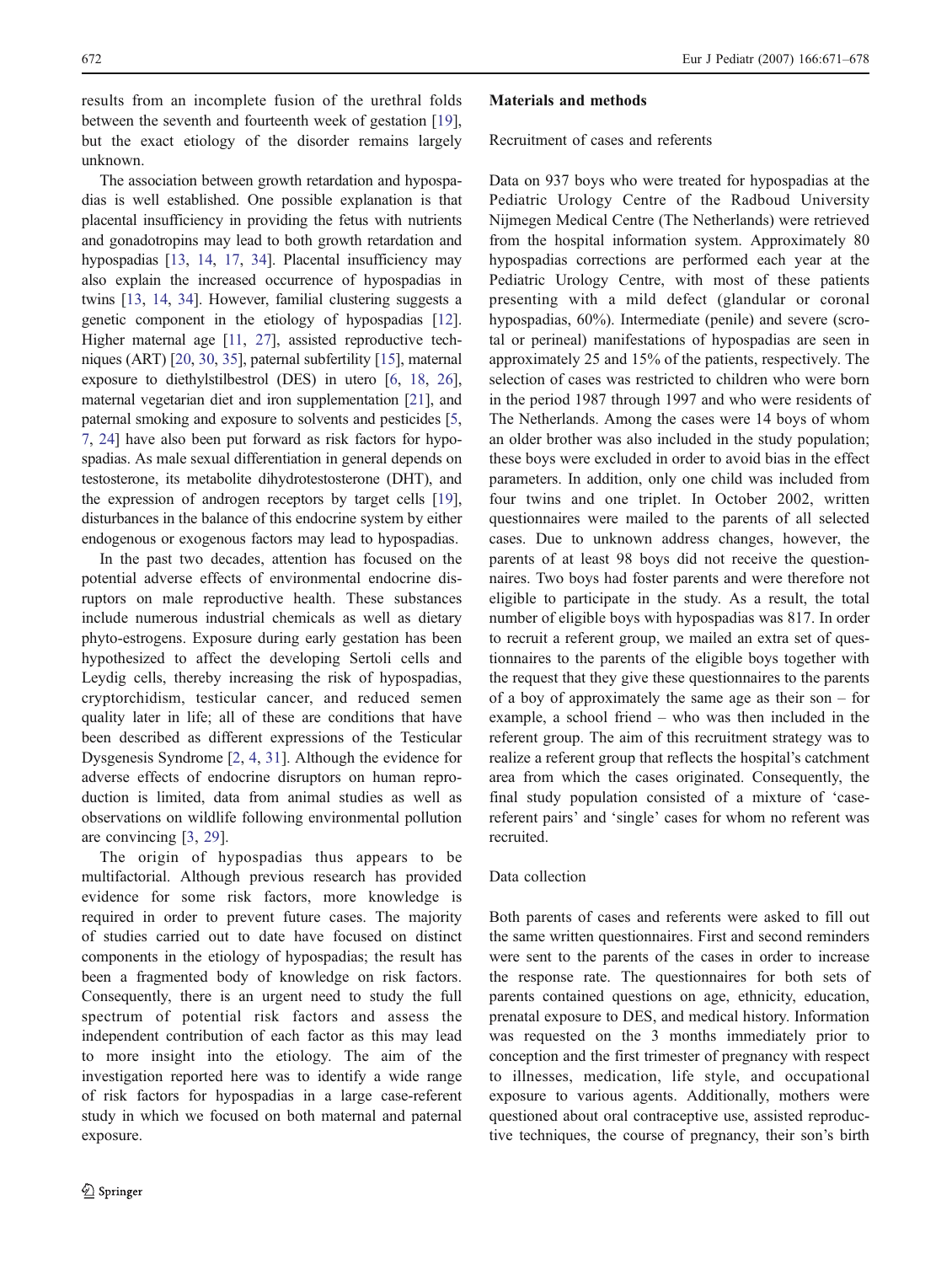results from an incomplete fusion of the urethral folds between the seventh and fourteenth week of gestation [\[19](#page-7-0)], but the exact etiology of the disorder remains largely unknown.

The association between growth retardation and hypospadias is well established. One possible explanation is that placental insufficiency in providing the fetus with nutrients and gonadotropins may lead to both growth retardation and hypospadias [\[13](#page-7-0), [14](#page-7-0), [17](#page-7-0), [34](#page-7-0)]. Placental insufficiency may also explain the increased occurrence of hypospadias in twins [\[13,](#page-7-0) [14,](#page-7-0) [34](#page-7-0)]. However, familial clustering suggests a genetic component in the etiology of hypospadias [[12\]](#page-7-0). Higher maternal age [[11](#page-7-0), [27\]](#page-7-0), assisted reproductive techniques (ART) [[20](#page-7-0), [30](#page-7-0), [35\]](#page-7-0), paternal subfertility [[15](#page-7-0)], maternal exposure to diethylstilbestrol (DES) in utero [[6,](#page-7-0) [18](#page-7-0), [26\]](#page-7-0), maternal vegetarian diet and iron supplementation [\[21](#page-7-0)], and paternal smoking and exposure to solvents and pesticides [[5,](#page-7-0) [7,](#page-7-0) [24\]](#page-7-0) have also been put forward as risk factors for hypospadias. As male sexual differentiation in general depends on testosterone, its metabolite dihydrotestosterone (DHT), and the expression of androgen receptors by target cells [[19\]](#page-7-0), disturbances in the balance of this endocrine system by either endogenous or exogenous factors may lead to hypospadias.

In the past two decades, attention has focused on the potential adverse effects of environmental endocrine disruptors on male reproductive health. These substances include numerous industrial chemicals as well as dietary phyto-estrogens. Exposure during early gestation has been hypothesized to affect the developing Sertoli cells and Leydig cells, thereby increasing the risk of hypospadias, cryptorchidism, testicular cancer, and reduced semen quality later in life; all of these are conditions that have been described as different expressions of the Testicular Dysgenesis Syndrome [[2,](#page-7-0) [4,](#page-7-0) [31](#page-7-0)]. Although the evidence for adverse effects of endocrine disruptors on human reproduction is limited, data from animal studies as well as observations on wildlife following environmental pollution are convincing [[3,](#page-7-0) [29\]](#page-7-0).

The origin of hypospadias thus appears to be multifactorial. Although previous research has provided evidence for some risk factors, more knowledge is required in order to prevent future cases. The majority of studies carried out to date have focused on distinct components in the etiology of hypospadias; the result has been a fragmented body of knowledge on risk factors. Consequently, there is an urgent need to study the full spectrum of potential risk factors and assess the independent contribution of each factor as this may lead to more insight into the etiology. The aim of the investigation reported here was to identify a wide range of risk factors for hypospadias in a large case-referent study in which we focused on both maternal and paternal exposure.

#### Materials and methods

Recruitment of cases and referents

Data on 937 boys who were treated for hypospadias at the Pediatric Urology Centre of the Radboud University Nijmegen Medical Centre (The Netherlands) were retrieved from the hospital information system. Approximately 80 hypospadias corrections are performed each year at the Pediatric Urology Centre, with most of these patients presenting with a mild defect (glandular or coronal hypospadias, 60%). Intermediate (penile) and severe (scrotal or perineal) manifestations of hypospadias are seen in approximately 25 and 15% of the patients, respectively. The selection of cases was restricted to children who were born in the period 1987 through 1997 and who were residents of The Netherlands. Among the cases were 14 boys of whom an older brother was also included in the study population; these boys were excluded in order to avoid bias in the effect parameters. In addition, only one child was included from four twins and one triplet. In October 2002, written questionnaires were mailed to the parents of all selected cases. Due to unknown address changes, however, the parents of at least 98 boys did not receive the questionnaires. Two boys had foster parents and were therefore not eligible to participate in the study. As a result, the total number of eligible boys with hypospadias was 817. In order to recruit a referent group, we mailed an extra set of questionnaires to the parents of the eligible boys together with the request that they give these questionnaires to the parents of a boy of approximately the same age as their son – for example, a school friend – who was then included in the referent group. The aim of this recruitment strategy was to realize a referent group that reflects the hospital's catchment area from which the cases originated. Consequently, the final study population consisted of a mixture of 'casereferent pairs' and 'single' cases for whom no referent was recruited.

## Data collection

Both parents of cases and referents were asked to fill out the same written questionnaires. First and second reminders were sent to the parents of the cases in order to increase the response rate. The questionnaires for both sets of parents contained questions on age, ethnicity, education, prenatal exposure to DES, and medical history. Information was requested on the 3 months immediately prior to conception and the first trimester of pregnancy with respect to illnesses, medication, life style, and occupational exposure to various agents. Additionally, mothers were questioned about oral contraceptive use, assisted reproductive techniques, the course of pregnancy, their son's birth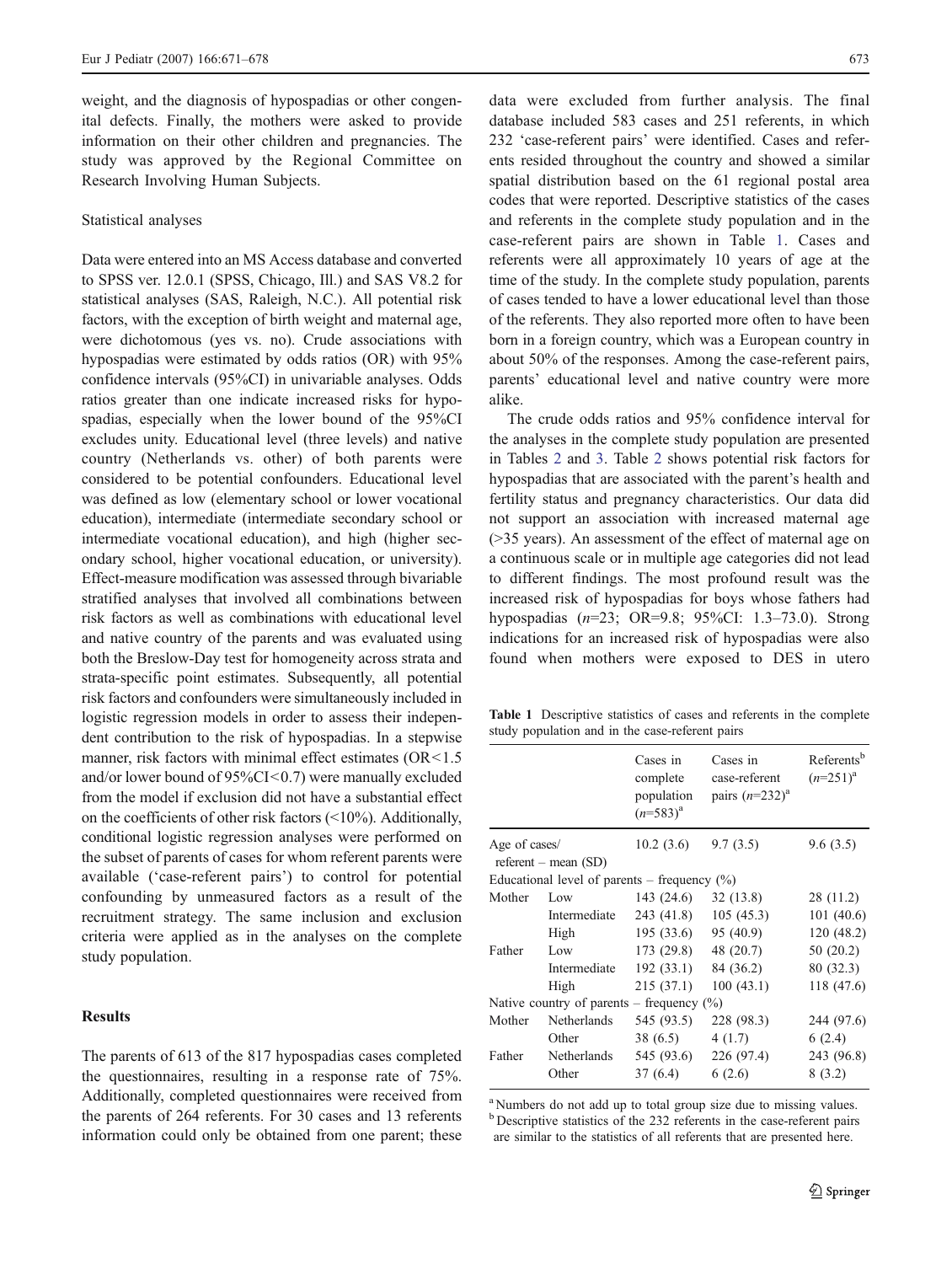weight, and the diagnosis of hypospadias or other congenital defects. Finally, the mothers were asked to provide information on their other children and pregnancies. The study was approved by the Regional Committee on Research Involving Human Subjects.

#### Statistical analyses

Data were entered into an MS Access database and converted to SPSS ver. 12.0.1 (SPSS, Chicago, Ill.) and SAS V8.2 for statistical analyses (SAS, Raleigh, N.C.). All potential risk factors, with the exception of birth weight and maternal age, were dichotomous (yes vs. no). Crude associations with hypospadias were estimated by odds ratios (OR) with 95% confidence intervals (95%CI) in univariable analyses. Odds ratios greater than one indicate increased risks for hypospadias, especially when the lower bound of the 95%CI excludes unity. Educational level (three levels) and native country (Netherlands vs. other) of both parents were considered to be potential confounders. Educational level was defined as low (elementary school or lower vocational education), intermediate (intermediate secondary school or intermediate vocational education), and high (higher secondary school, higher vocational education, or university). Effect-measure modification was assessed through bivariable stratified analyses that involved all combinations between risk factors as well as combinations with educational level and native country of the parents and was evaluated using both the Breslow-Day test for homogeneity across strata and strata-specific point estimates. Subsequently, all potential risk factors and confounders were simultaneously included in logistic regression models in order to assess their independent contribution to the risk of hypospadias. In a stepwise manner, risk factors with minimal effect estimates (OR<1.5) and/or lower bound of 95%CI<0.7) were manually excluded from the model if exclusion did not have a substantial effect on the coefficients of other risk factors (<10%). Additionally, conditional logistic regression analyses were performed on the subset of parents of cases for whom referent parents were available ('case-referent pairs') to control for potential confounding by unmeasured factors as a result of the recruitment strategy. The same inclusion and exclusion criteria were applied as in the analyses on the complete study population.

## **Results**

The parents of 613 of the 817 hypospadias cases completed the questionnaires, resulting in a response rate of 75%. Additionally, completed questionnaires were received from the parents of 264 referents. For 30 cases and 13 referents information could only be obtained from one parent; these data were excluded from further analysis. The final database included 583 cases and 251 referents, in which 232 'case-referent pairs' were identified. Cases and referents resided throughout the country and showed a similar spatial distribution based on the 61 regional postal area codes that were reported. Descriptive statistics of the cases and referents in the complete study population and in the case-referent pairs are shown in Table 1. Cases and referents were all approximately 10 years of age at the time of the study. In the complete study population, parents of cases tended to have a lower educational level than those of the referents. They also reported more often to have been born in a foreign country, which was a European country in about 50% of the responses. Among the case-referent pairs, parents' educational level and native country were more alike.

The crude odds ratios and 95% confidence interval for the analyses in the complete study population are presented in Tables [2](#page-3-0) and [3.](#page-3-0) Table [2](#page-3-0) shows potential risk factors for hypospadias that are associated with the parent's health and fertility status and pregnancy characteristics. Our data did not support an association with increased maternal age (>35 years). An assessment of the effect of maternal age on a continuous scale or in multiple age categories did not lead to different findings. The most profound result was the increased risk of hypospadias for boys whose fathers had hypospadias (n=23; OR=9.8; 95%CI: 1.3–73.0). Strong indications for an increased risk of hypospadias were also found when mothers were exposed to DES in utero

Table 1 Descriptive statistics of cases and referents in the complete study population and in the case-referent pairs

|                                         |                                                 | Cases in<br>complete<br>population<br>$(n=583)^{a}$ | Cases in<br>case-referent<br>pairs $(n=232)^a$ | Referents <sup>b</sup><br>$(n=251)^{a}$ |
|-----------------------------------------|-------------------------------------------------|-----------------------------------------------------|------------------------------------------------|-----------------------------------------|
| Age of cases/<br>referent – mean $(SD)$ |                                                 | 10.2(3.6)                                           | 9.7(3.5)                                       | 9.6(3.5)                                |
|                                         | Educational level of parents – frequency $(\%)$ |                                                     |                                                |                                         |
| Mother                                  | Low                                             | 143 (24.6)                                          | 32(13.8)                                       | 28 (11.2)                               |
|                                         | Intermediate                                    | 243 (41.8)                                          | 105(45.3)                                      | 101(40.6)                               |
|                                         | High                                            | 195(33.6)                                           | 95 (40.9)                                      | 120(48.2)                               |
| Father                                  | Low                                             | 173 (29.8)                                          | 48 (20.7)                                      | 50(20.2)                                |
|                                         | Intermediate                                    | 192(33.1)                                           | 84 (36.2)                                      | 80 (32.3)                               |
|                                         | High                                            | 215(37.1)                                           | 100(43.1)                                      | 118 (47.6)                              |
|                                         | Native country of parents – frequency $(\%)$    |                                                     |                                                |                                         |
| Mother                                  | <b>Netherlands</b>                              | 545 (93.5)                                          | 228 (98.3)                                     | 244 (97.6)                              |
|                                         | Other                                           | 38 (6.5)                                            | 4(1.7)                                         | 6(2.4)                                  |
| Father                                  | Netherlands                                     | 545 (93.6)                                          | 226 (97.4)                                     | 243 (96.8)                              |
|                                         | Other                                           | 37 (6.4)                                            | 6(2.6)                                         | 8(3.2)                                  |

<sup>a</sup> Numbers do not add up to total group size due to missing values. <sup>b</sup> Descriptive statistics of the 232 referents in the case-referent pairs are similar to the statistics of all referents that are presented here.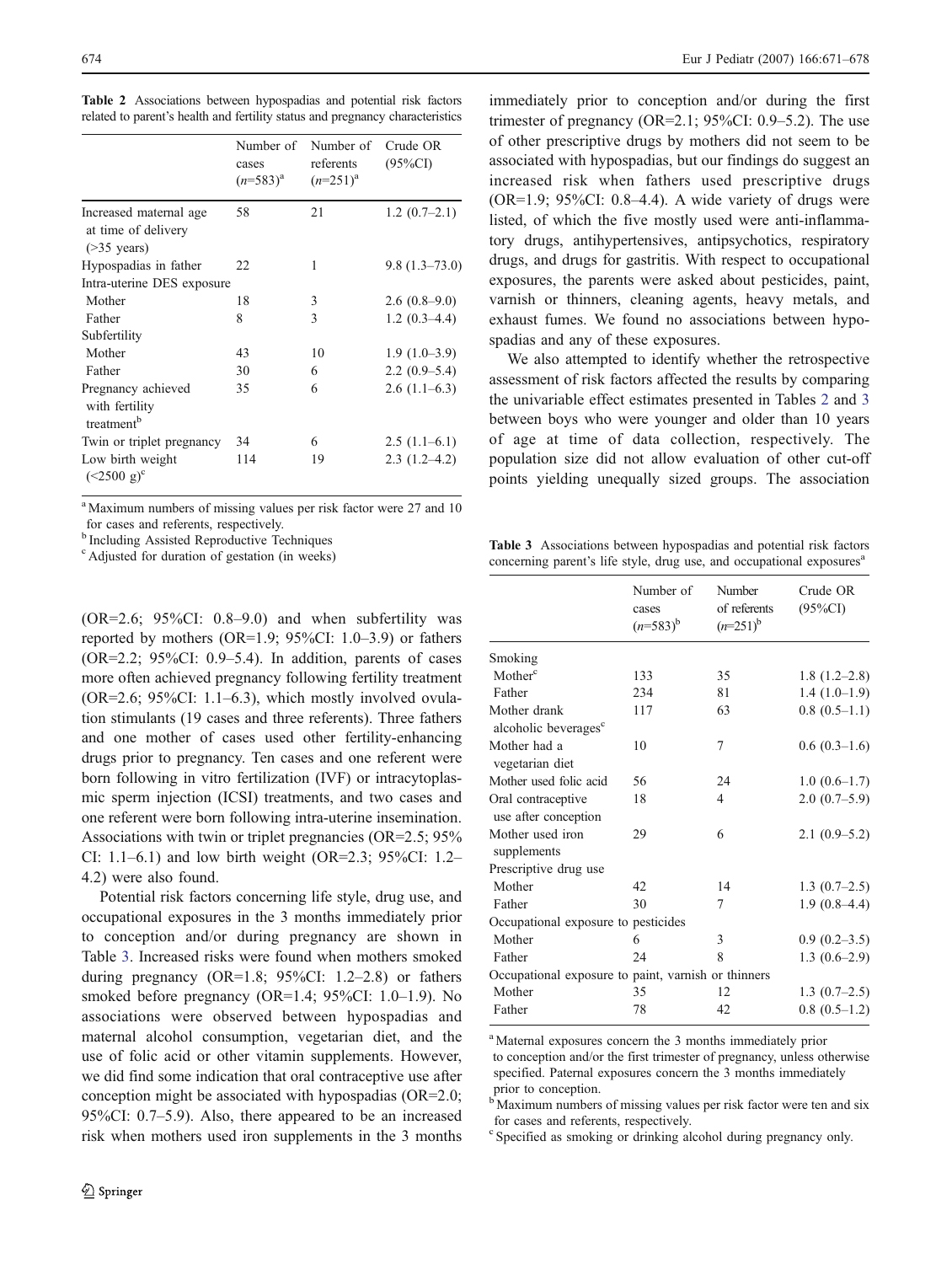<span id="page-3-0"></span>

|  | Table 2 Associations between hypospadias and potential risk factors           |  |  |  |
|--|-------------------------------------------------------------------------------|--|--|--|
|  | related to parent's health and fertility status and pregnancy characteristics |  |  |  |

|                                                                 | Number of<br>cases<br>$(n=583)^{a}$ | Number of<br>referents<br>$(n=251)^{a}$ | Crude OR<br>$(95\%CI)$ |
|-----------------------------------------------------------------|-------------------------------------|-----------------------------------------|------------------------|
| Increased maternal age<br>at time of delivery<br>$($ >35 years) | 58                                  | 21                                      | $1.2(0.7-2.1)$         |
| Hypospadias in father                                           | 22                                  | 1                                       | $9.8(1.3-73.0)$        |
| Intra-uterine DES exposure                                      |                                     |                                         |                        |
| Mother                                                          | 18                                  | 3                                       | $2.6(0.8-9.0)$         |
| Father                                                          | 8                                   | 3                                       | $1.2(0.3-4.4)$         |
| Subfertility                                                    |                                     |                                         |                        |
| Mother                                                          | 43                                  | 10                                      | $1.9(1.0-3.9)$         |
| Father                                                          | 30                                  | 6                                       | $2.2(0.9-5.4)$         |
| Pregnancy achieved<br>with fertility<br>treatment <sup>b</sup>  | 35                                  | 6                                       | $2.6(1.1-6.3)$         |
| Twin or triplet pregnancy                                       | 34                                  | 6                                       | $2.5(1.1-6.1)$         |
| Low birth weight<br>$(<2500 \text{ g})^{\text{c}}$              | 114                                 | 19                                      | $2.3(1.2-4.2)$         |

<sup>a</sup> Maximum numbers of missing values per risk factor were 27 and 10 for cases and referents, respectively.

<sup>b</sup> Including Assisted Reproductive Techniques

c Adjusted for duration of gestation (in weeks)

 $(OR=2.6; 95\%CI: 0.8-9.0)$  and when subfertility was reported by mothers (OR=1.9; 95%CI: 1.0–3.9) or fathers  $(OR=2.2; 95\%CI: 0.9-5.4)$ . In addition, parents of cases more often achieved pregnancy following fertility treatment  $(OR=2.6; 95\%CI: 1.1–6.3)$ , which mostly involved ovulation stimulants (19 cases and three referents). Three fathers and one mother of cases used other fertility-enhancing drugs prior to pregnancy. Ten cases and one referent were born following in vitro fertilization (IVF) or intracytoplasmic sperm injection (ICSI) treatments, and two cases and one referent were born following intra-uterine insemination. Associations with twin or triplet pregnancies (OR=2.5; 95% CI: 1.1–6.1) and low birth weight (OR=2.3;  $95\%$ CI: 1.2– 4.2) were also found.

Potential risk factors concerning life style, drug use, and occupational exposures in the 3 months immediately prior to conception and/or during pregnancy are shown in Table 3. Increased risks were found when mothers smoked during pregnancy  $(OR=1.8; 95\%CI: 1.2-2.8)$  or fathers smoked before pregnancy (OR=1.4; 95%CI: 1.0–1.9). No associations were observed between hypospadias and maternal alcohol consumption, vegetarian diet, and the use of folic acid or other vitamin supplements. However, we did find some indication that oral contraceptive use after conception might be associated with hypospadias (OR=2.0; 95%CI: 0.7–5.9). Also, there appeared to be an increased risk when mothers used iron supplements in the 3 months

immediately prior to conception and/or during the first trimester of pregnancy (OR=2.1;  $95\%$ CI: 0.9–5.2). The use of other prescriptive drugs by mothers did not seem to be associated with hypospadias, but our findings do suggest an increased risk when fathers used prescriptive drugs  $(OR=1.9; 95\%CI: 0.8–4.4)$ . A wide variety of drugs were listed, of which the five mostly used were anti-inflammatory drugs, antihypertensives, antipsychotics, respiratory drugs, and drugs for gastritis. With respect to occupational exposures, the parents were asked about pesticides, paint, varnish or thinners, cleaning agents, heavy metals, and exhaust fumes. We found no associations between hypospadias and any of these exposures.

We also attempted to identify whether the retrospective assessment of risk factors affected the results by comparing the univariable effect estimates presented in Tables 2 and 3 between boys who were younger and older than 10 years of age at time of data collection, respectively. The population size did not allow evaluation of other cut-off points yielding unequally sized groups. The association

Table 3 Associations between hypospadias and potential risk factors concerning parent's life style, drug use, and occupational exposures<sup>a</sup>

|                                                     | Number of<br>cases<br>$(n=583)^{b}$ | Number<br>of referents<br>$(n=251)^{b}$ | Crude OR<br>$(95\%CI)$ |
|-----------------------------------------------------|-------------------------------------|-----------------------------------------|------------------------|
| Smoking                                             |                                     |                                         |                        |
| Mother <sup>c</sup>                                 | 133                                 | 35                                      | $1.8(1.2-2.8)$         |
| Father                                              | 234                                 | 81                                      | $1.4(1.0-1.9)$         |
| Mother drank                                        | 117                                 | 63                                      | $0.8(0.5-1.1)$         |
| alcoholic beverages <sup>c</sup>                    |                                     |                                         |                        |
| Mother had a<br>vegetarian diet                     | 10                                  | 7                                       | $0.6(0.3-1.6)$         |
| Mother used folic acid                              | 56                                  | 24                                      | $1.0(0.6-1.7)$         |
| Oral contraceptive<br>use after conception          | 18                                  | 4                                       | $2.0(0.7-5.9)$         |
| Mother used iron<br>supplements                     | 29                                  | 6                                       | $2.1(0.9-5.2)$         |
| Prescriptive drug use                               |                                     |                                         |                        |
| Mother                                              | 42                                  | 14                                      | $1.3(0.7-2.5)$         |
| Father                                              | 30                                  | 7                                       | $1.9(0.8-4.4)$         |
| Occupational exposure to pesticides                 |                                     |                                         |                        |
| Mother                                              | 6                                   | 3                                       | $0.9(0.2-3.5)$         |
| Father                                              | 24                                  | 8                                       | $1.3(0.6-2.9)$         |
| Occupational exposure to paint, varnish or thinners |                                     |                                         |                        |
| Mother                                              | 35                                  | 12                                      | $1.3(0.7-2.5)$         |
| Father                                              | 78                                  | 42                                      | $0.8(0.5-1.2)$         |

<sup>a</sup> Maternal exposures concern the 3 months immediately prior to conception and/or the first trimester of pregnancy, unless otherwise specified. Paternal exposures concern the 3 months immediately prior to conception.

<sup>b</sup> Maximum numbers of missing values per risk factor were ten and six for cases and referents, respectively.

<sup>c</sup> Specified as smoking or drinking alcohol during pregnancy only.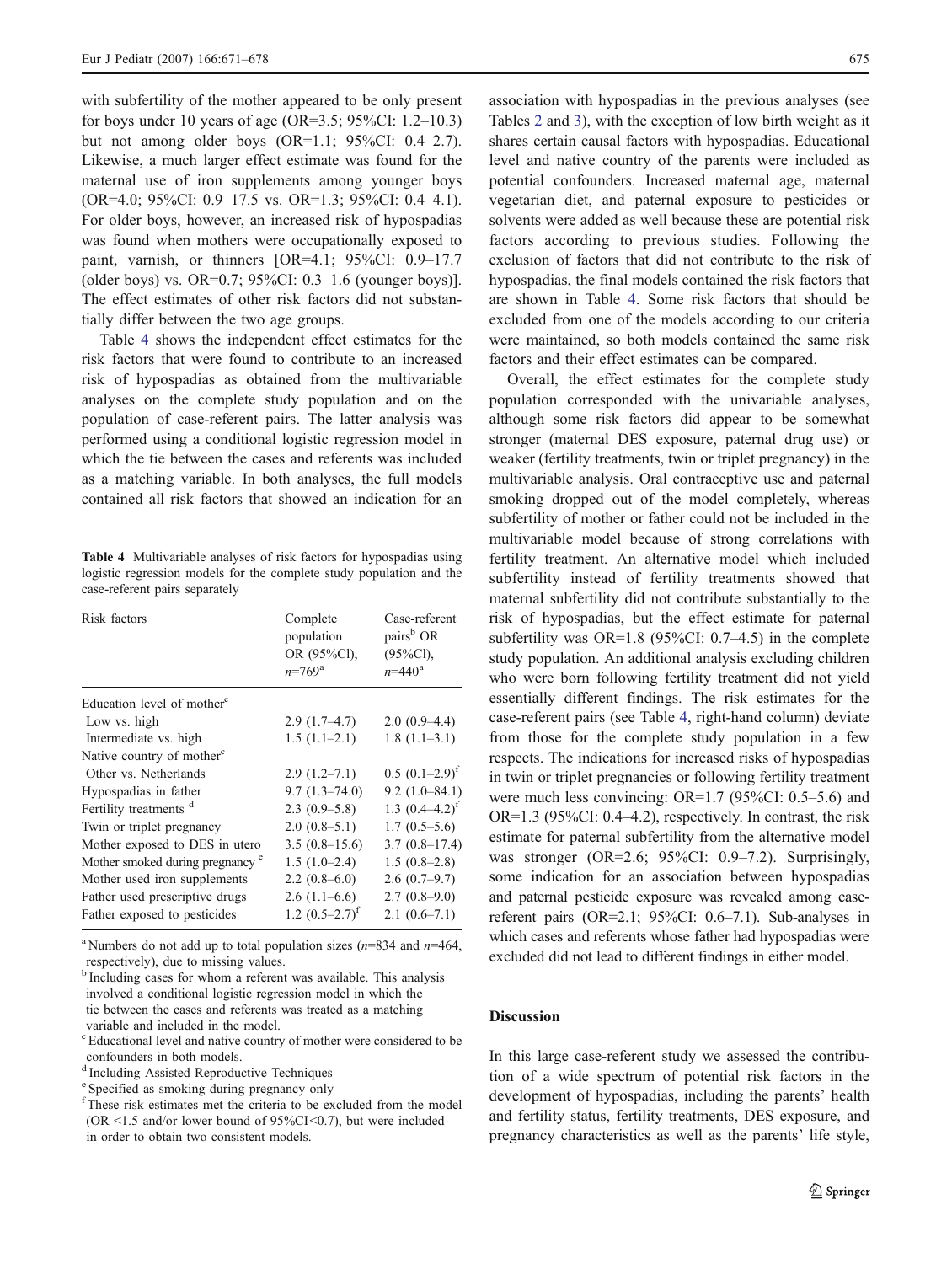with subfertility of the mother appeared to be only present for boys under 10 years of age (OR=3.5; 95%CI: 1.2–10.3) but not among older boys (OR=1.1; 95%CI: 0.4–2.7). Likewise, a much larger effect estimate was found for the maternal use of iron supplements among younger boys (OR=4.0; 95%CI: 0.9–17.5 vs. OR=1.3; 95%CI: 0.4–4.1). For older boys, however, an increased risk of hypospadias was found when mothers were occupationally exposed to paint, varnish, or thinners [OR=4.1; 95%CI: 0.9–17.7 (older boys) vs. OR=0.7; 95%CI: 0.3–1.6 (younger boys)]. The effect estimates of other risk factors did not substantially differ between the two age groups.

Table 4 shows the independent effect estimates for the risk factors that were found to contribute to an increased risk of hypospadias as obtained from the multivariable analyses on the complete study population and on the population of case-referent pairs. The latter analysis was performed using a conditional logistic regression model in which the tie between the cases and referents was included as a matching variable. In both analyses, the full models contained all risk factors that showed an indication for an

Table 4 Multivariable analyses of risk factors for hypospadias using logistic regression models for the complete study population and the case-referent pairs separately

| Case-referent<br>pairs <sup>b</sup> OR<br>$(95\%CI)$ ,<br>$n = 440^{\circ}$ |
|-----------------------------------------------------------------------------|
|                                                                             |
| $2.0(0.9-4.4)$                                                              |
| $1.8(1.1-3.1)$                                                              |
|                                                                             |
| $0.5 (0.1 - 2.9)^f$                                                         |
| $9.2(1.0 - 84.1)$                                                           |
| 1.3 $(0.4-4.2)^f$                                                           |
| $1.7(0.5-5.6)$                                                              |
| $3.7(0.8-17.4)$                                                             |
| $1.5(0.8-2.8)$                                                              |
| $2.6(0.7-9.7)$                                                              |
| $2.7(0.8-9.0)$                                                              |
| $2.1(0.6-7.1)$                                                              |
|                                                                             |

<sup>a</sup> Numbers do not add up to total population sizes ( $n=834$  and  $n=464$ , respectively), due to missing values.

- c Educational level and native country of mother were considered to be confounders in both models.
- d Including Assisted Reproductive Techniques
- e Specified as smoking during pregnancy only

association with hypospadias in the previous analyses (see Tables [2](#page-3-0) and [3](#page-3-0)), with the exception of low birth weight as it shares certain causal factors with hypospadias. Educational level and native country of the parents were included as potential confounders. Increased maternal age, maternal vegetarian diet, and paternal exposure to pesticides or solvents were added as well because these are potential risk factors according to previous studies. Following the exclusion of factors that did not contribute to the risk of hypospadias, the final models contained the risk factors that are shown in Table 4. Some risk factors that should be excluded from one of the models according to our criteria were maintained, so both models contained the same risk factors and their effect estimates can be compared.

Overall, the effect estimates for the complete study population corresponded with the univariable analyses, although some risk factors did appear to be somewhat stronger (maternal DES exposure, paternal drug use) or weaker (fertility treatments, twin or triplet pregnancy) in the multivariable analysis. Oral contraceptive use and paternal smoking dropped out of the model completely, whereas subfertility of mother or father could not be included in the multivariable model because of strong correlations with fertility treatment. An alternative model which included subfertility instead of fertility treatments showed that maternal subfertility did not contribute substantially to the risk of hypospadias, but the effect estimate for paternal subfertility was OR=1.8 (95%CI: 0.7–4.5) in the complete study population. An additional analysis excluding children who were born following fertility treatment did not yield essentially different findings. The risk estimates for the case-referent pairs (see Table 4, right-hand column) deviate from those for the complete study population in a few respects. The indications for increased risks of hypospadias in twin or triplet pregnancies or following fertility treatment were much less convincing: OR=1.7 (95%CI: 0.5–5.6) and OR=1.3 (95%CI: 0.4–4.2), respectively. In contrast, the risk estimate for paternal subfertility from the alternative model was stronger (OR=2.6; 95%CI: 0.9–7.2). Surprisingly, some indication for an association between hypospadias and paternal pesticide exposure was revealed among casereferent pairs (OR=2.1; 95%CI: 0.6–7.1). Sub-analyses in which cases and referents whose father had hypospadias were excluded did not lead to different findings in either model.

## **Discussion**

In this large case-referent study we assessed the contribution of a wide spectrum of potential risk factors in the development of hypospadias, including the parents' health and fertility status, fertility treatments, DES exposure, and pregnancy characteristics as well as the parents' life style,

<sup>&</sup>lt;sup>b</sup> Including cases for whom a referent was available. This analysis involved a conditional logistic regression model in which the tie between the cases and referents was treated as a matching variable and included in the model.

f These risk estimates met the criteria to be excluded from the model (OR  $\leq$ 1.5 and/or lower bound of 95%CI $\leq$ 0.7), but were included in order to obtain two consistent models.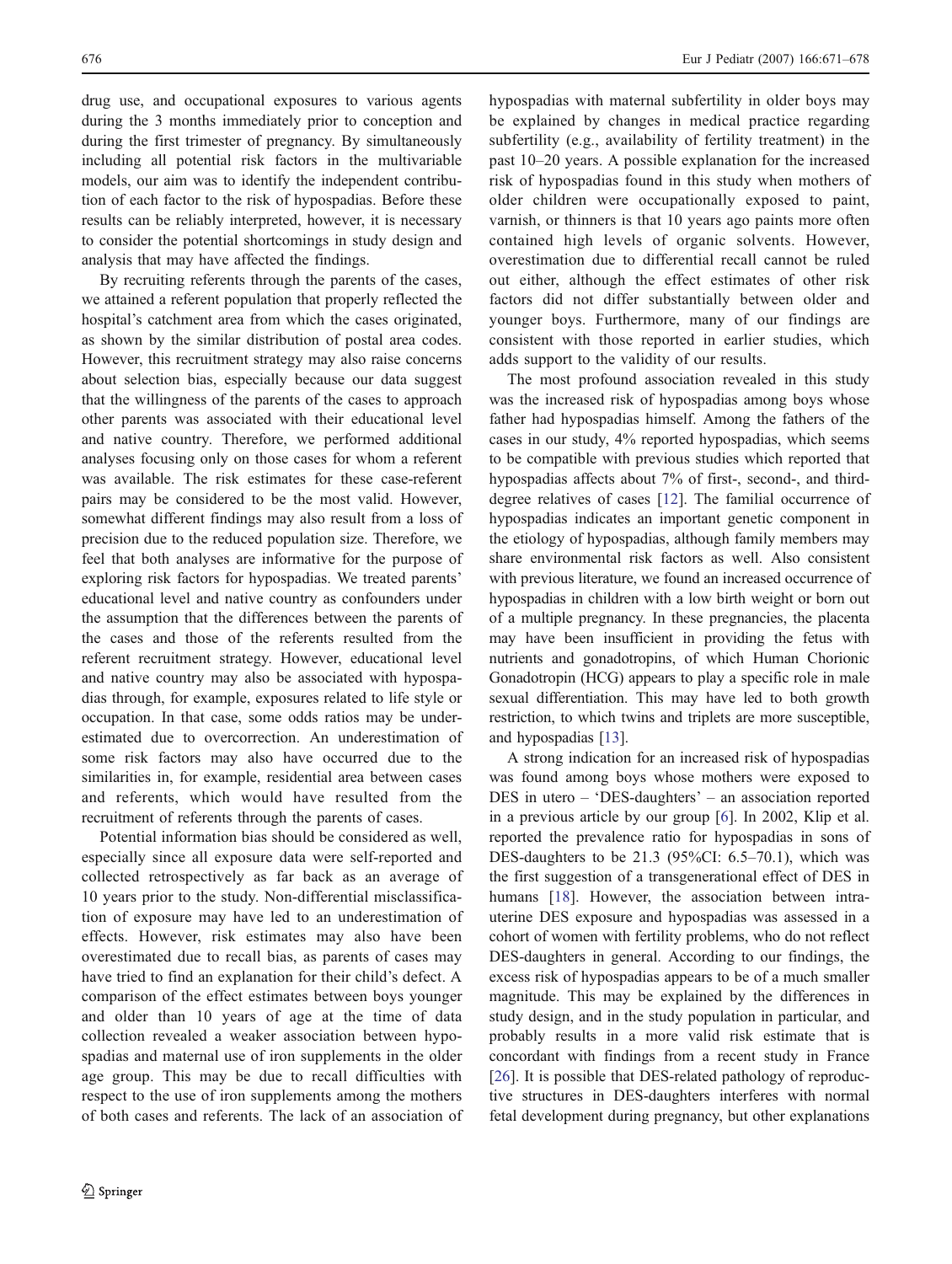drug use, and occupational exposures to various agents during the 3 months immediately prior to conception and during the first trimester of pregnancy. By simultaneously including all potential risk factors in the multivariable models, our aim was to identify the independent contribution of each factor to the risk of hypospadias. Before these results can be reliably interpreted, however, it is necessary to consider the potential shortcomings in study design and analysis that may have affected the findings.

By recruiting referents through the parents of the cases, we attained a referent population that properly reflected the hospital's catchment area from which the cases originated, as shown by the similar distribution of postal area codes. However, this recruitment strategy may also raise concerns about selection bias, especially because our data suggest that the willingness of the parents of the cases to approach other parents was associated with their educational level and native country. Therefore, we performed additional analyses focusing only on those cases for whom a referent was available. The risk estimates for these case-referent pairs may be considered to be the most valid. However, somewhat different findings may also result from a loss of precision due to the reduced population size. Therefore, we feel that both analyses are informative for the purpose of exploring risk factors for hypospadias. We treated parents' educational level and native country as confounders under the assumption that the differences between the parents of the cases and those of the referents resulted from the referent recruitment strategy. However, educational level and native country may also be associated with hypospadias through, for example, exposures related to life style or occupation. In that case, some odds ratios may be underestimated due to overcorrection. An underestimation of some risk factors may also have occurred due to the similarities in, for example, residential area between cases and referents, which would have resulted from the recruitment of referents through the parents of cases.

Potential information bias should be considered as well, especially since all exposure data were self-reported and collected retrospectively as far back as an average of 10 years prior to the study. Non-differential misclassification of exposure may have led to an underestimation of effects. However, risk estimates may also have been overestimated due to recall bias, as parents of cases may have tried to find an explanation for their child's defect. A comparison of the effect estimates between boys younger and older than 10 years of age at the time of data collection revealed a weaker association between hypospadias and maternal use of iron supplements in the older age group. This may be due to recall difficulties with respect to the use of iron supplements among the mothers of both cases and referents. The lack of an association of hypospadias with maternal subfertility in older boys may be explained by changes in medical practice regarding subfertility (e.g., availability of fertility treatment) in the past 10–20 years. A possible explanation for the increased risk of hypospadias found in this study when mothers of older children were occupationally exposed to paint, varnish, or thinners is that 10 years ago paints more often contained high levels of organic solvents. However, overestimation due to differential recall cannot be ruled out either, although the effect estimates of other risk factors did not differ substantially between older and younger boys. Furthermore, many of our findings are consistent with those reported in earlier studies, which adds support to the validity of our results.

The most profound association revealed in this study was the increased risk of hypospadias among boys whose father had hypospadias himself. Among the fathers of the cases in our study, 4% reported hypospadias, which seems to be compatible with previous studies which reported that hypospadias affects about 7% of first-, second-, and thirddegree relatives of cases [[12\]](#page-7-0). The familial occurrence of hypospadias indicates an important genetic component in the etiology of hypospadias, although family members may share environmental risk factors as well. Also consistent with previous literature, we found an increased occurrence of hypospadias in children with a low birth weight or born out of a multiple pregnancy. In these pregnancies, the placenta may have been insufficient in providing the fetus with nutrients and gonadotropins, of which Human Chorionic Gonadotropin (HCG) appears to play a specific role in male sexual differentiation. This may have led to both growth restriction, to which twins and triplets are more susceptible, and hypospadias [\[13\]](#page-7-0).

A strong indication for an increased risk of hypospadias was found among boys whose mothers were exposed to DES in utero – 'DES-daughters' – an association reported in a previous article by our group [[6\]](#page-7-0). In 2002, Klip et al. reported the prevalence ratio for hypospadias in sons of DES-daughters to be 21.3 (95%CI: 6.5–70.1), which was the first suggestion of a transgenerational effect of DES in humans [[18\]](#page-7-0). However, the association between intrauterine DES exposure and hypospadias was assessed in a cohort of women with fertility problems, who do not reflect DES-daughters in general. According to our findings, the excess risk of hypospadias appears to be of a much smaller magnitude. This may be explained by the differences in study design, and in the study population in particular, and probably results in a more valid risk estimate that is concordant with findings from a recent study in France [\[26](#page-7-0)]. It is possible that DES-related pathology of reproductive structures in DES-daughters interferes with normal fetal development during pregnancy, but other explanations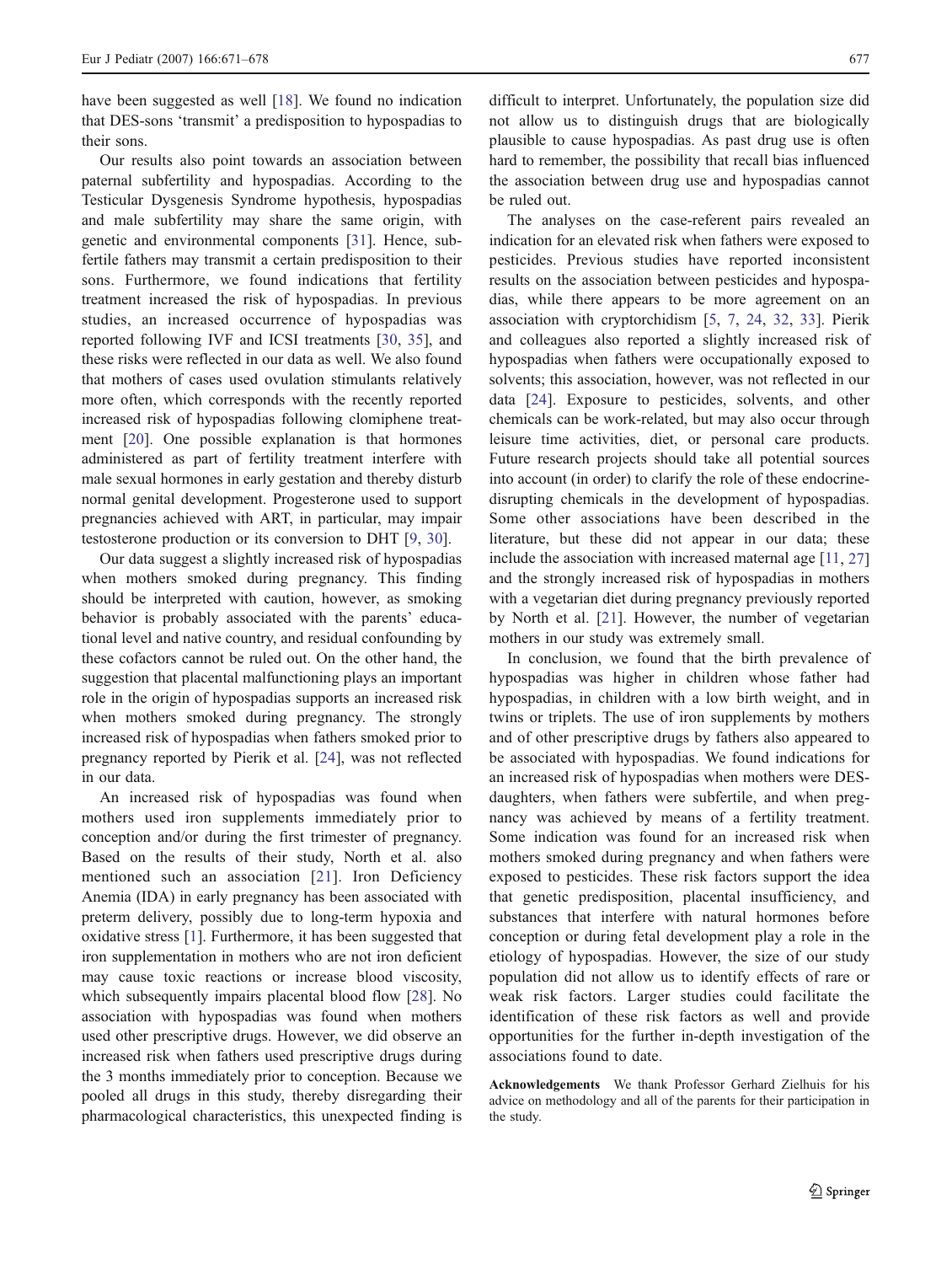have been suggested as well [[18\]](#page-7-0). We found no indication that DES-sons 'transmit' a predisposition to hypospadias to their sons.

Our results also point towards an association between paternal subfertility and hypospadias. According to the Testicular Dysgenesis Syndrome hypothesis, hypospadias and male subfertility may share the same origin, with genetic and environmental components [[31\]](#page-7-0). Hence, subfertile fathers may transmit a certain predisposition to their sons. Furthermore, we found indications that fertility treatment increased the risk of hypospadias. In previous studies, an increased occurrence of hypospadias was reported following IVF and ICSI treatments [[30,](#page-7-0) [35](#page-7-0)], and these risks were reflected in our data as well. We also found that mothers of cases used ovulation stimulants relatively more often, which corresponds with the recently reported increased risk of hypospadias following clomiphene treatment [\[20](#page-7-0)]. One possible explanation is that hormones administered as part of fertility treatment interfere with male sexual hormones in early gestation and thereby disturb normal genital development. Progesterone used to support pregnancies achieved with ART, in particular, may impair testosterone production or its conversion to DHT [\[9](#page-7-0), [30](#page-7-0)].

Our data suggest a slightly increased risk of hypospadias when mothers smoked during pregnancy. This finding should be interpreted with caution, however, as smoking behavior is probably associated with the parents' educational level and native country, and residual confounding by these cofactors cannot be ruled out. On the other hand, the suggestion that placental malfunctioning plays an important role in the origin of hypospadias supports an increased risk when mothers smoked during pregnancy. The strongly increased risk of hypospadias when fathers smoked prior to pregnancy reported by Pierik et al. [\[24](#page-7-0)], was not reflected in our data.

An increased risk of hypospadias was found when mothers used iron supplements immediately prior to conception and/or during the first trimester of pregnancy. Based on the results of their study, North et al. also mentioned such an association [[21](#page-7-0)]. Iron Deficiency Anemia (IDA) in early pregnancy has been associated with preterm delivery, possibly due to long-term hypoxia and oxidative stress [[1\]](#page-7-0). Furthermore, it has been suggested that iron supplementation in mothers who are not iron deficient may cause toxic reactions or increase blood viscosity, which subsequently impairs placental blood flow [[28\]](#page-7-0). No association with hypospadias was found when mothers used other prescriptive drugs. However, we did observe an increased risk when fathers used prescriptive drugs during the 3 months immediately prior to conception. Because we pooled all drugs in this study, thereby disregarding their pharmacological characteristics, this unexpected finding is

difficult to interpret. Unfortunately, the population size did not allow us to distinguish drugs that are biologically plausible to cause hypospadias. As past drug use is often hard to remember, the possibility that recall bias influenced the association between drug use and hypospadias cannot be ruled out.

The analyses on the case-referent pairs revealed an indication for an elevated risk when fathers were exposed to pesticides. Previous studies have reported inconsistent results on the association between pesticides and hypospadias, while there appears to be more agreement on an association with cryptorchidism [[5,](#page-7-0) [7](#page-7-0), [24](#page-7-0), [32,](#page-7-0) [33\]](#page-7-0). Pierik and colleagues also reported a slightly increased risk of hypospadias when fathers were occupationally exposed to solvents; this association, however, was not reflected in our data [\[24](#page-7-0)]. Exposure to pesticides, solvents, and other chemicals can be work-related, but may also occur through leisure time activities, diet, or personal care products. Future research projects should take all potential sources into account (in order) to clarify the role of these endocrinedisrupting chemicals in the development of hypospadias. Some other associations have been described in the literature, but these did not appear in our data; these include the association with increased maternal age [\[11,](#page-7-0) [27](#page-7-0)] and the strongly increased risk of hypospadias in mothers with a vegetarian diet during pregnancy previously reported by North et al. [[21\]](#page-7-0). However, the number of vegetarian mothers in our study was extremely small.

In conclusion, we found that the birth prevalence of hypospadias was higher in children whose father had hypospadias, in children with a low birth weight, and in twins or triplets. The use of iron supplements by mothers and of other prescriptive drugs by fathers also appeared to be associated with hypospadias. We found indications for an increased risk of hypospadias when mothers were DESdaughters, when fathers were subfertile, and when pregnancy was achieved by means of a fertility treatment. Some indication was found for an increased risk when mothers smoked during pregnancy and when fathers were exposed to pesticides. These risk factors support the idea that genetic predisposition, placental insufficiency, and substances that interfere with natural hormones before conception or during fetal development play a role in the etiology of hypospadias. However, the size of our study population did not allow us to identify effects of rare or weak risk factors. Larger studies could facilitate the identification of these risk factors as well and provide opportunities for the further in-depth investigation of the associations found to date.

Acknowledgements We thank Professor Gerhard Zielhuis for his advice on methodology and all of the parents for their participation in the study.